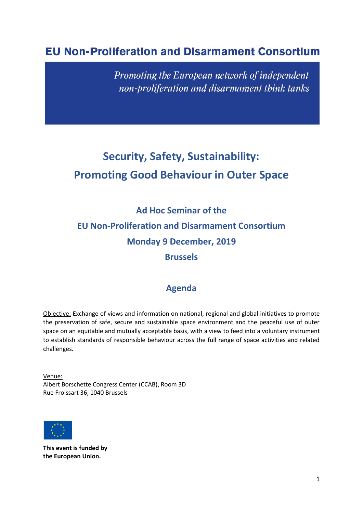## **EU Non-Proliferation and Disarmament Consortium**

Promoting the European network of independent non-proliferation and disarmament think tanks

# **Security, Safety, Sustainability: Promoting Good Behaviour in Outer Space**

**Ad Hoc Seminar of the EU Non-Proliferation and Disarmament Consortium Monday 9 December, 2019 Brussels**

## **Agenda**

Objective: Exchange of views and information on national, regional and global initiatives to promote the preservation of safe, secure and sustainable space environment and the peaceful use of outer space on an equitable and mutually acceptable basis, with a view to feed into a voluntary instrument to establish standards of responsible behaviour across the full range of space activities and related challenges.

Venue: Albert Borschette Congress Center (CCAB), Room 3D Rue Froissart 36, 1040 Brussels



**This event is funded by the European Union.**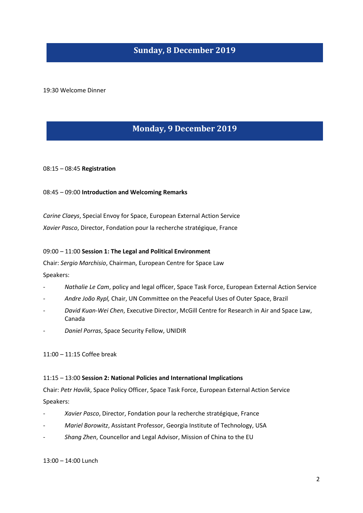### **Sunday, 8 December 2019**

19:30 Welcome Dinner

## **Monday, 9 December 2019**

08:15 – 08:45 **Registration**

08:45 – 09:00 **Introduction and Welcoming Remarks**

*Carine Claeys*, Special Envoy for Space, European External Action Service *Xavier Pasco*, Director, Fondation pour la recherche stratégique, France

#### 09:00 – 11:00 **Session 1: The Legal and Political Environment**

Chair: *Sergio Marchisio*, Chairman, European Centre for Space Law Speakers:

- *Nathalie Le Cam*, policy and legal officer, Space Task Force, European External Action Service
- *- Andre João Rypl,* Chair, UN Committee on the Peaceful Uses of Outer Space, Brazil
- *David Kuan-Wei Chen*, Executive Director, McGill Centre for Research in Air and Space Law, Canada
- *Daniel Porras*, Space Security Fellow, UNIDIR

11:00 – 11:15 Coffee break

#### 11:15 – 13:00 **Session 2: National Policies and International Implications**

Chair: *Petr Havlik*, Space Policy Officer, Space Task Force, European External Action Service Speakers:

- *Xavier Pasco*, Director, Fondation pour la recherche stratégique, France
- *Mariel Borowitz*, Assistant Professor, Georgia Institute of Technology, USA
- *Shang Zhen*, Councellor and Legal Advisor, Mission of China to the EU

13:00 – 14:00 Lunch